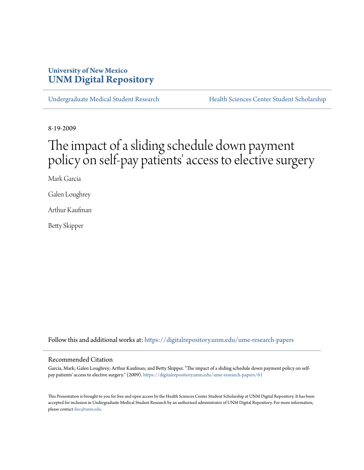## **University of New Mexico [UNM Digital Repository](https://digitalrepository.unm.edu?utm_source=digitalrepository.unm.edu%2Fume-research-papers%2F61&utm_medium=PDF&utm_campaign=PDFCoverPages)**

[Undergraduate Medical Student Research](https://digitalrepository.unm.edu/ume-research-papers?utm_source=digitalrepository.unm.edu%2Fume-research-papers%2F61&utm_medium=PDF&utm_campaign=PDFCoverPages) [Health Sciences Center Student Scholarship](https://digitalrepository.unm.edu/hsc-students?utm_source=digitalrepository.unm.edu%2Fume-research-papers%2F61&utm_medium=PDF&utm_campaign=PDFCoverPages)

8-19-2009

# The impact of a sliding schedule down payment policy on self-pay patients' access to elective surgery

Mark Garcia

Galen Loughrey

Arthur Kaufman

Betty Skipper

Follow this and additional works at: [https://digitalrepository.unm.edu/ume-research-papers](https://digitalrepository.unm.edu/ume-research-papers?utm_source=digitalrepository.unm.edu%2Fume-research-papers%2F61&utm_medium=PDF&utm_campaign=PDFCoverPages)

#### Recommended Citation

Garcia, Mark; Galen Loughrey; Arthur Kaufman; and Betty Skipper. "The impact of a sliding schedule down payment policy on selfpay patients' access to elective surgery." (2009). [https://digitalrepository.unm.edu/ume-research-papers/61](https://digitalrepository.unm.edu/ume-research-papers/61?utm_source=digitalrepository.unm.edu%2Fume-research-papers%2F61&utm_medium=PDF&utm_campaign=PDFCoverPages)

This Presentation is brought to you for free and open access by the Health Sciences Center Student Scholarship at UNM Digital Repository. It has been accepted for inclusion in Undergraduate Medical Student Research by an authorized administrator of UNM Digital Repository. For more information, please contact [disc@unm.edu.](mailto:disc@unm.edu)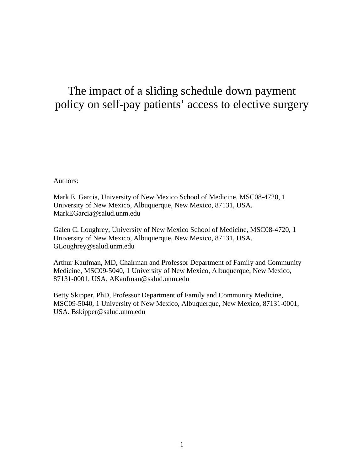## The impact of a sliding schedule down payment policy on self-pay patients' access to elective surgery

Authors:

Mark E. Garcia, University of New Mexico School of Medicine, MSC08-4720, 1 University of New Mexico, Albuquerque, New Mexico, 87131, USA. MarkEGarcia@salud.unm.edu

Galen C. Loughrey, University of New Mexico School of Medicine, MSC08-4720, 1 University of New Mexico, Albuquerque, New Mexico, 87131, USA. GLoughrey@salud.unm.edu

Arthur Kaufman, MD, Chairman and Professor Department of Family and Community Medicine, MSC09-5040, 1 University of New Mexico, Albuquerque, New Mexico, 87131-0001, USA. AKaufman@salud.unm.edu

Betty Skipper, PhD, Professor Department of Family and Community Medicine, MSC09-5040, 1 University of New Mexico, Albuquerque, New Mexico, 87131-0001, USA. Bskipper@salud.unm.edu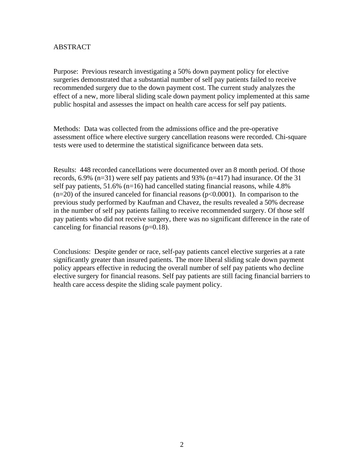### ABSTRACT

Purpose: Previous research investigating a 50% down payment policy for elective surgeries demonstrated that a substantial number of self pay patients failed to receive recommended surgery due to the down payment cost. The current study analyzes the effect of a new, more liberal sliding scale down payment policy implemented at this same public hospital and assesses the impact on health care access for self pay patients.

Methods: Data was collected from the admissions office and the pre-operative assessment office where elective surgery cancellation reasons were recorded. Chi-square tests were used to determine the statistical significance between data sets.

Results: 448 recorded cancellations were documented over an 8 month period. Of those records, 6.9% (n=31) were self pay patients and 93% (n=417) had insurance. Of the 31 self pay patients, 51.6% (n=16) had cancelled stating financial reasons, while 4.8%  $(n=20)$  of the insured canceled for financial reasons  $(p<0.0001)$ . In comparison to the previous study performed by Kaufman and Chavez, the results revealed a 50% decrease in the number of self pay patients failing to receive recommended surgery. Of those self pay patients who did not receive surgery, there was no significant difference in the rate of canceling for financial reasons  $(p=0.18)$ .

Conclusions: Despite gender or race, self-pay patients cancel elective surgeries at a rate significantly greater than insured patients. The more liberal sliding scale down payment policy appears effective in reducing the overall number of self pay patients who decline elective surgery for financial reasons. Self pay patients are still facing financial barriers to health care access despite the sliding scale payment policy.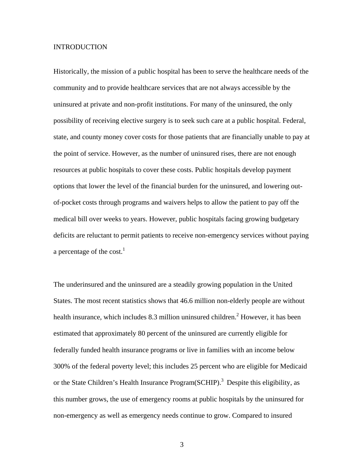#### INTRODUCTION

Historically, the mission of a public hospital has been to serve the healthcare needs of the community and to provide healthcare services that are not always accessible by the uninsured at private and non-profit institutions. For many of the uninsured, the only possibility of receiving elective surgery is to seek such care at a public hospital. Federal, state, and county money cover costs for those patients that are financially unable to pay at the point of service. However, as the number of uninsured rises, there are not enough resources at public hospitals to cover these costs. Public hospitals develop payment options that lower the level of the financial burden for the uninsured, and lowering outof-pocket costs through programs and waivers helps to allow the patient to pay off the medical bill over weeks to years. However, public hospitals facing growing budgetary deficits are reluctant to permit patients to receive non-emergency services without paying a percentage of the cost. $<sup>1</sup>$ </sup>

The underinsured and the uninsured are a steadily growing population in the United States. The most recent statistics shows that 46.6 million non-elderly people are without health insurance, which includes 8.3 million uninsured children.<sup>2</sup> However, it has been estimated that approximately 80 percent of the uninsured are currently eligible for federally funded health insurance programs or live in families with an income below 300% of the federal poverty level; this includes 25 percent who are eligible for Medicaid or the State Children's Health Insurance Program(SCHIP).<sup>3</sup> Despite this eligibility, as this number grows, the use of emergency rooms at public hospitals by the uninsured for non-emergency as well as emergency needs continue to grow. Compared to insured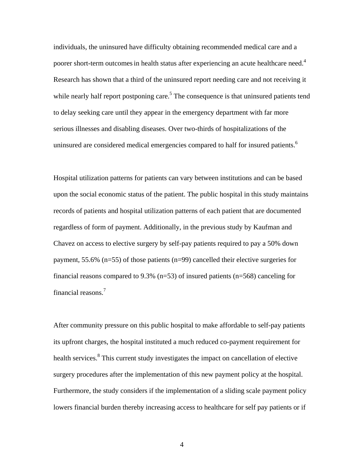individuals, the uninsured have difficulty obtaining recommended medical care and a poorer short-term outcomes in health status after experiencing an acute healthcare need.<sup>4</sup> Research has shown that a third of the uninsured report needing care and not receiving it while nearly half report postponing care.<sup>5</sup> The consequence is that uninsured patients tend to delay seeking care until they appear in the emergency department with far more serious illnesses and disabling diseases. Over two-thirds of hospitalizations of the uninsured are considered medical emergencies compared to half for insured patients.<sup>6</sup>

Hospital utilization patterns for patients can vary between institutions and can be based upon the social economic status of the patient. The public hospital in this study maintains records of patients and hospital utilization patterns of each patient that are documented regardless of form of payment. Additionally, in the previous study by Kaufman and Chavez on access to elective surgery by self-pay patients required to pay a 50% down payment, 55.6% (n=55) of those patients (n=99) cancelled their elective surgeries for financial reasons compared to 9.3% (n=53) of insured patients (n=568) canceling for financial reasons.7

After community pressure on this public hospital to make affordable to self-pay patients its upfront charges, the hospital instituted a much reduced co-payment requirement for health services.<sup>8</sup> This current study investigates the impact on cancellation of elective surgery procedures after the implementation of this new payment policy at the hospital. Furthermore, the study considers if the implementation of a sliding scale payment policy lowers financial burden thereby increasing access to healthcare for self pay patients or if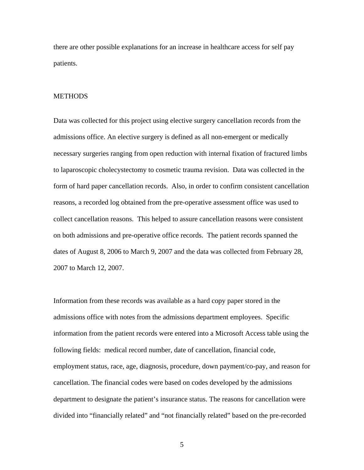there are other possible explanations for an increase in healthcare access for self pay patients.

#### **METHODS**

Data was collected for this project using elective surgery cancellation records from the admissions office. An elective surgery is defined as all non-emergent or medically necessary surgeries ranging from open reduction with internal fixation of fractured limbs to laparoscopic cholecystectomy to cosmetic trauma revision. Data was collected in the form of hard paper cancellation records. Also, in order to confirm consistent cancellation reasons, a recorded log obtained from the pre-operative assessment office was used to collect cancellation reasons. This helped to assure cancellation reasons were consistent on both admissions and pre-operative office records. The patient records spanned the dates of August 8, 2006 to March 9, 2007 and the data was collected from February 28, 2007 to March 12, 2007.

Information from these records was available as a hard copy paper stored in the admissions office with notes from the admissions department employees. Specific information from the patient records were entered into a Microsoft Access table using the following fields: medical record number, date of cancellation, financial code, employment status, race, age, diagnosis, procedure, down payment/co-pay, and reason for cancellation. The financial codes were based on codes developed by the admissions department to designate the patient's insurance status. The reasons for cancellation were divided into "financially related" and "not financially related" based on the pre-recorded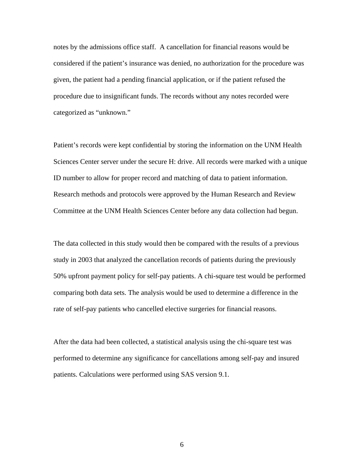notes by the admissions office staff. A cancellation for financial reasons would be considered if the patient's insurance was denied, no authorization for the procedure was given, the patient had a pending financial application, or if the patient refused the procedure due to insignificant funds. The records without any notes recorded were categorized as "unknown."

Patient's records were kept confidential by storing the information on the UNM Health Sciences Center server under the secure H: drive. All records were marked with a unique ID number to allow for proper record and matching of data to patient information. Research methods and protocols were approved by the Human Research and Review Committee at the UNM Health Sciences Center before any data collection had begun.

The data collected in this study would then be compared with the results of a previous study in 2003 that analyzed the cancellation records of patients during the previously 50% upfront payment policy for self-pay patients. A chi-square test would be performed comparing both data sets. The analysis would be used to determine a difference in the rate of self-pay patients who cancelled elective surgeries for financial reasons.

After the data had been collected, a statistical analysis using the chi-square test was performed to determine any significance for cancellations among self-pay and insured patients. Calculations were performed using SAS version 9.1.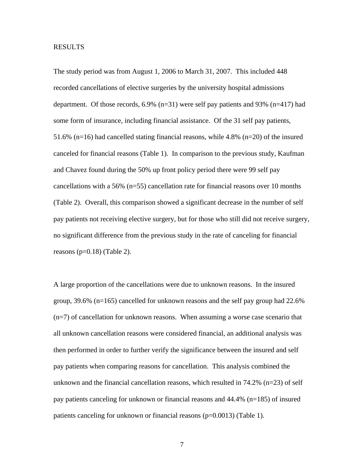#### RESULTS

The study period was from August 1, 2006 to March 31, 2007. This included 448 recorded cancellations of elective surgeries by the university hospital admissions department. Of those records, 6.9% (n=31) were self pay patients and 93% (n=417) had some form of insurance, including financial assistance. Of the 31 self pay patients, 51.6% (n=16) had cancelled stating financial reasons, while 4.8% (n=20) of the insured canceled for financial reasons (Table 1). In comparison to the previous study, Kaufman and Chavez found during the 50% up front policy period there were 99 self pay cancellations with a 56% (n=55) cancellation rate for financial reasons over 10 months (Table 2). Overall, this comparison showed a significant decrease in the number of self pay patients not receiving elective surgery, but for those who still did not receive surgery, no significant difference from the previous study in the rate of canceling for financial reasons ( $p=0.18$ ) (Table 2).

A large proportion of the cancellations were due to unknown reasons. In the insured group, 39.6% (n=165) cancelled for unknown reasons and the self pay group had 22.6% (n=7) of cancellation for unknown reasons. When assuming a worse case scenario that all unknown cancellation reasons were considered financial, an additional analysis was then performed in order to further verify the significance between the insured and self pay patients when comparing reasons for cancellation. This analysis combined the unknown and the financial cancellation reasons, which resulted in  $74.2\%$  (n=23) of self pay patients canceling for unknown or financial reasons and 44.4% (n=185) of insured patients canceling for unknown or financial reasons (p=0.0013) (Table 1).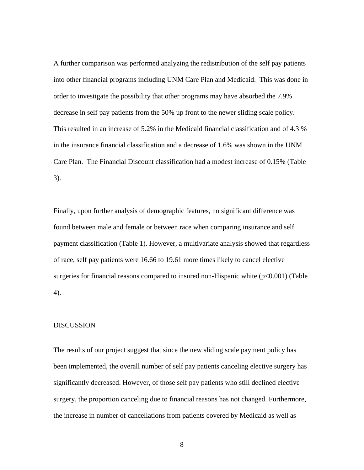A further comparison was performed analyzing the redistribution of the self pay patients into other financial programs including UNM Care Plan and Medicaid. This was done in order to investigate the possibility that other programs may have absorbed the 7.9% decrease in self pay patients from the 50% up front to the newer sliding scale policy. This resulted in an increase of 5.2% in the Medicaid financial classification and of 4.3 % in the insurance financial classification and a decrease of 1.6% was shown in the UNM Care Plan. The Financial Discount classification had a modest increase of 0.15% (Table 3).

Finally, upon further analysis of demographic features, no significant difference was found between male and female or between race when comparing insurance and self payment classification (Table 1). However, a multivariate analysis showed that regardless of race, self pay patients were 16.66 to 19.61 more times likely to cancel elective surgeries for financial reasons compared to insured non-Hispanic white  $(p<0.001)$  (Table 4).

#### DISCUSSION

The results of our project suggest that since the new sliding scale payment policy has been implemented, the overall number of self pay patients canceling elective surgery has significantly decreased. However, of those self pay patients who still declined elective surgery, the proportion canceling due to financial reasons has not changed. Furthermore, the increase in number of cancellations from patients covered by Medicaid as well as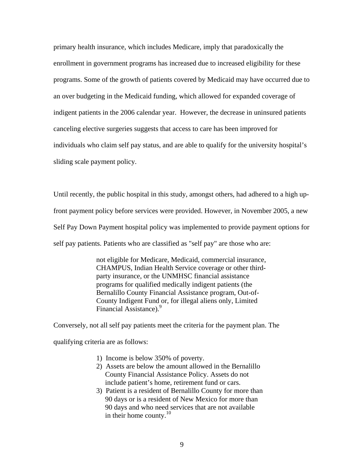primary health insurance, which includes Medicare, imply that paradoxically the enrollment in government programs has increased due to increased eligibility for these programs. Some of the growth of patients covered by Medicaid may have occurred due to an over budgeting in the Medicaid funding, which allowed for expanded coverage of indigent patients in the 2006 calendar year. However, the decrease in uninsured patients canceling elective surgeries suggests that access to care has been improved for individuals who claim self pay status, and are able to qualify for the university hospital's sliding scale payment policy.

Until recently, the public hospital in this study, amongst others, had adhered to a high upfront payment policy before services were provided. However, in November 2005, a new Self Pay Down Payment hospital policy was implemented to provide payment options for self pay patients. Patients who are classified as "self pay" are those who are:

> not eligible for Medicare, Medicaid, commercial insurance, CHAMPUS, Indian Health Service coverage or other thirdparty insurance, or the UNMHSC financial assistance programs for qualified medically indigent patients (the Bernalillo County Financial Assistance program, Out-of-County Indigent Fund or, for illegal aliens only, Limited Financial Assistance).<sup>9</sup>

Conversely, not all self pay patients meet the criteria for the payment plan. The qualifying criteria are as follows:

- 1) Income is below 350% of poverty.
- 2) Assets are below the amount allowed in the Bernalillo County Financial Assistance Policy. Assets do not include patient's home, retirement fund or cars.
- 3) Patient is a resident of Bernalillo County for more than 90 days or is a resident of New Mexico for more than 90 days and who need services that are not available in their home county. $^{10}$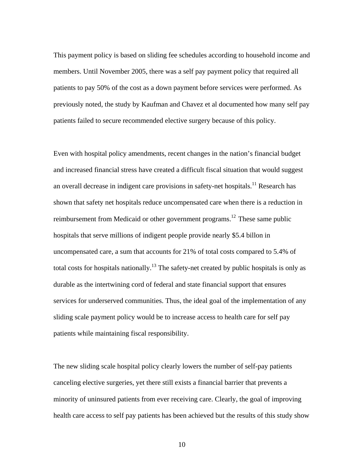This payment policy is based on sliding fee schedules according to household income and members. Until November 2005, there was a self pay payment policy that required all patients to pay 50% of the cost as a down payment before services were performed. As previously noted, the study by Kaufman and Chavez et al documented how many self pay patients failed to secure recommended elective surgery because of this policy.

Even with hospital policy amendments, recent changes in the nation's financial budget and increased financial stress have created a difficult fiscal situation that would suggest an overall decrease in indigent care provisions in safety-net hospitals.<sup>11</sup> Research has shown that safety net hospitals reduce uncompensated care when there is a reduction in reimbursement from Medicaid or other government programs.<sup>12</sup> These same public hospitals that serve millions of indigent people provide nearly \$5.4 billon in uncompensated care, a sum that accounts for 21% of total costs compared to 5.4% of total costs for hospitals nationally.<sup>13</sup> The safety-net created by public hospitals is only as durable as the intertwining cord of federal and state financial support that ensures services for underserved communities. Thus, the ideal goal of the implementation of any sliding scale payment policy would be to increase access to health care for self pay patients while maintaining fiscal responsibility.

The new sliding scale hospital policy clearly lowers the number of self-pay patients canceling elective surgeries, yet there still exists a financial barrier that prevents a minority of uninsured patients from ever receiving care. Clearly, the goal of improving health care access to self pay patients has been achieved but the results of this study show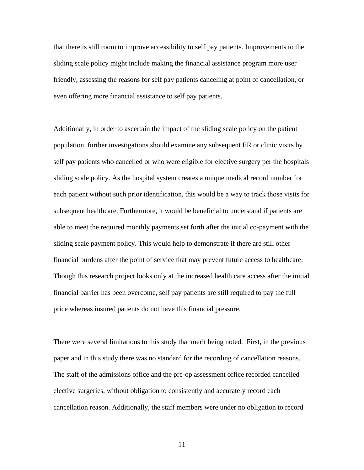that there is still room to improve accessibility to self pay patients. Improvements to the sliding scale policy might include making the financial assistance program more user friendly, assessing the reasons for self pay patients canceling at point of cancellation, or even offering more financial assistance to self pay patients.

Additionally, in order to ascertain the impact of the sliding scale policy on the patient population, further investigations should examine any subsequent ER or clinic visits by self pay patients who cancelled or who were eligible for elective surgery per the hospitals sliding scale policy. As the hospital system creates a unique medical record number for each patient without such prior identification, this would be a way to track those visits for subsequent healthcare. Furthermore, it would be beneficial to understand if patients are able to meet the required monthly payments set forth after the initial co-payment with the sliding scale payment policy. This would help to demonstrate if there are still other financial burdens after the point of service that may prevent future access to healthcare. Though this research project looks only at the increased health care access after the initial financial barrier has been overcome, self pay patients are still required to pay the full price whereas insured patients do not have this financial pressure.

There were several limitations to this study that merit being noted. First, in the previous paper and in this study there was no standard for the recording of cancellation reasons. The staff of the admissions office and the pre-op assessment office recorded cancelled elective surgeries, without obligation to consistently and accurately record each cancellation reason. Additionally, the staff members were under no obligation to record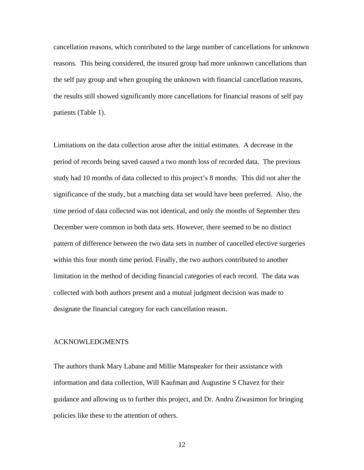cancellation reasons, which contributed to the large number of cancellations for unknown reasons. This being considered, the insured group had more unknown cancellations than the self pay group and when grouping the unknown with financial cancellation reasons, the results still showed significantly more cancellations for financial reasons of self pay patients (Table 1).

Limitations on the data collection arose after the initial estimates. A decrease in the period of records being saved caused a two month loss of recorded data. The previous study had 10 months of data collected to this project's 8 months. This did not alter the significance of the study, but a matching data set would have been preferred. Also, the time period of data collected was not identical, and only the months of September thru December were common in both data sets. However, there seemed to be no distinct pattern of difference between the two data sets in number of cancelled elective surgeries within this four month time period. Finally, the two authors contributed to another limitation in the method of deciding financial categories of each record. The data was collected with both authors present and a mutual judgment decision was made to designate the financial category for each cancellation reason.

#### ACKNOWLEDGMENTS

The authors thank Mary Labane and Millie Manspeaker for their assistance with information and data collection, Will Kaufman and Augustine S Chavez for their guidance and allowing us to further this project, and Dr. Andru Ziwasimon for bringing policies like these to the attention of others.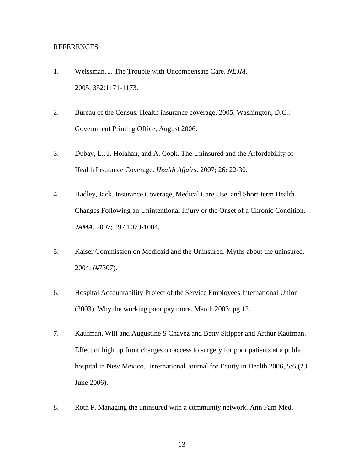#### REFERENCES

- 1. Weissman, J. The Trouble with Uncompensate Care. *NEJM*. 2005; 352:1171-1173.
- 2. Bureau of the Census. Health insurance coverage, 2005. Washington, D.C.: Government Printing Office, August 2006.
- 3. Dubay, L., J. Holahan, and A. Cook. The Uninsured and the Affordability of Health Insurance Coverage. *Health Affairs.* 2007; 26: 22-30.
- 4. Hadley, Jack. Insurance Coverage, Medical Care Use, and Short-term Health Changes Following an Unintentional Injury or the Onset of a Chronic Condition. *JAMA*. 2007; 297:1073-1084.
- 5. Kaiser Commission on Medicaid and the Uninsured. Myths about the uninsured. 2004; (#7307).
- 6. Hospital Accountability Project of the Service Employees International Union (2003). Why the working poor pay more. March 2003; pg 12.
- 7. Kaufman, Will and Augustine S Chavez and Betty Skipper and Arthur Kaufman. Effect of high up front charges on access to surgery for poor patients at a public hospital in New Mexico. International Journal for Equity in Health 2006, 5:6 (23 June 2006).
- 8. Roth P. Managing the uninsured with a community network. Ann Fam Med.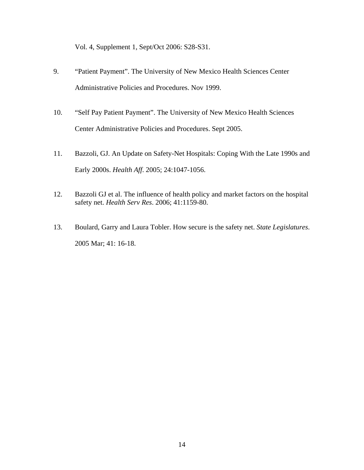Vol. 4, Supplement 1, Sept/Oct 2006: S28-S31.

- 9. "Patient Payment". The University of New Mexico Health Sciences Center Administrative Policies and Procedures. Nov 1999.
- 10. "Self Pay Patient Payment". The University of New Mexico Health Sciences Center Administrative Policies and Procedures. Sept 2005.
- 11. Bazzoli, GJ. An Update on Safety-Net Hospitals: Coping With the Late 1990s and Early 2000s. *Health Aff*. 2005; 24:1047-1056.
- 12. Bazzoli GJ et al. The influence of health policy and market factors on the hospital safety net. *Health Serv Res*. 2006; 41:1159-80.
- 13. Boulard, Garry and Laura Tobler. How secure is the safety net. *State Legislatures*. 2005 Mar; 41: 16-18.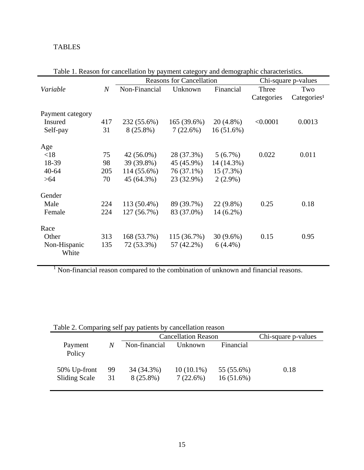## TABLES

|                  |                  | <b>Reasons for Cancellation</b> |             |             | Chi-square p-values |                          |  |
|------------------|------------------|---------------------------------|-------------|-------------|---------------------|--------------------------|--|
| Variable         | $\boldsymbol{N}$ | Non-Financial                   | Unknown     | Financial   | Three               | Two                      |  |
|                  |                  |                                 |             |             | Categories          | Categorical <sup>1</sup> |  |
|                  |                  |                                 |             |             |                     |                          |  |
| Payment category |                  |                                 |             |             |                     |                          |  |
| Insured          | 417              | 232 (55.6%)                     | 165(39.6%)  | $20(4.8\%)$ | < 0.0001            | 0.0013                   |  |
| Self-pay         | 31               | $8(25.8\%)$                     | 7(22.6%)    | 16(51.6%)   |                     |                          |  |
| Age              |                  |                                 |             |             |                     |                          |  |
| < 18             | 75               | 42 (56.0%)                      | 28 (37.3%)  | $5(6.7\%)$  | 0.022               | 0.011                    |  |
| 18-39            | 98               | 39 (39.8%)                      | 45 (45.9%)  | 14 (14.3%)  |                     |                          |  |
| $40 - 64$        | 205              | 114 (55.6%)                     | 76 (37.1%)  | 15 (7.3%)   |                     |                          |  |
| >64              | 70               | 45 (64.3%)                      | 23 (32.9%)  | $2(2.9\%)$  |                     |                          |  |
| Gender           |                  |                                 |             |             |                     |                          |  |
| Male             | 224              | 113 (50.4%)                     | 89 (39.7%)  | $22(9.8\%)$ | 0.25                | 0.18                     |  |
| Female           | 224              | 127 (56.7%)                     | 83 (37.0%)  | $14(6.2\%)$ |                     |                          |  |
| Race             |                  |                                 |             |             |                     |                          |  |
| Other            | 313              | 168 (53.7%)                     | 115 (36.7%) | $30(9.6\%)$ | 0.15                | 0.95                     |  |
| Non-Hispanic     | 135              | 72 (53.3%)                      | 57 (42.2%)  | $6(4.4\%)$  |                     |                          |  |
| White            |                  |                                 |             |             |                     |                          |  |

Table 1. Reason for cancellation by payment category and demographic characteristics.

<sup>1</sup> Non-financial reason compared to the combination of unknown and financial reasons.

| Table 2. Comparing sen pay patients by cancellation reason |          |                            |                             |                            |      |
|------------------------------------------------------------|----------|----------------------------|-----------------------------|----------------------------|------|
|                                                            |          | <b>Cancellation Reason</b> | Chi-square p-values         |                            |      |
| Payment<br>Policy                                          | N        | Non-financial              | Unknown                     | Financial                  |      |
| 50% Up-front<br><b>Sliding Scale</b>                       | 99<br>31 | 34 (34.3%)<br>$8(25.8\%)$  | $10(10.1\%)$<br>$7(22.6\%)$ | 55 (55.6%)<br>$16(51.6\%)$ | 0.18 |

Table 2. Comparing self pay patients by cancellation reason